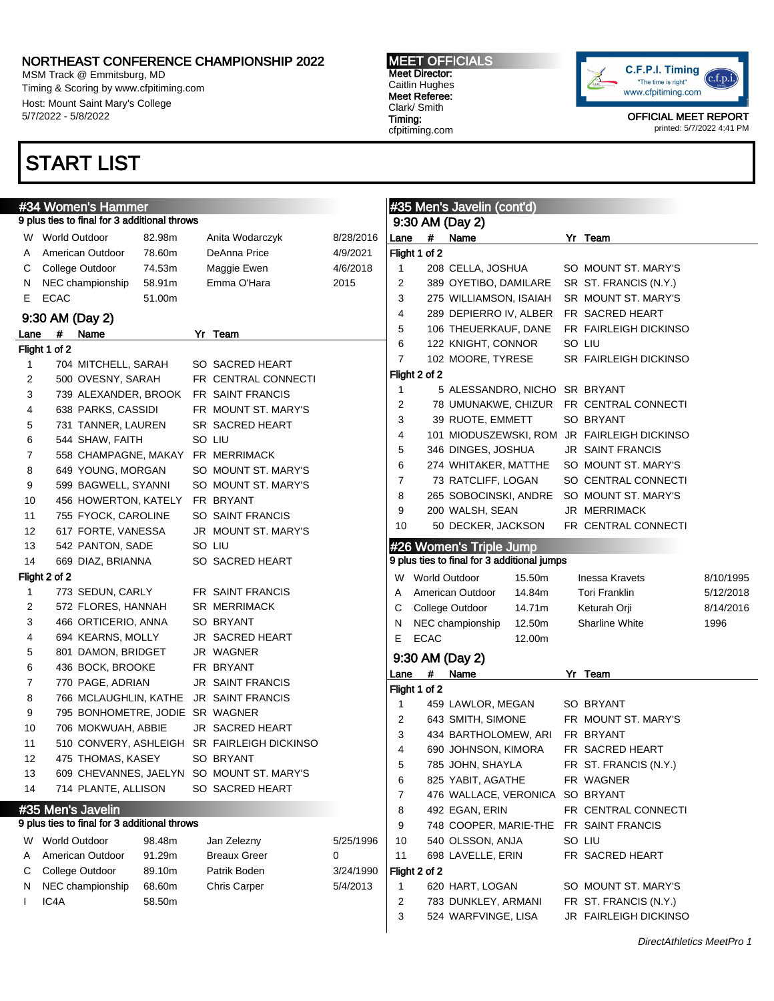MSM Track @ Emmitsburg, MD Timing & Scoring by www.cfpitiming.com Host: Mount Saint Mary's College 5/7/2022 - 5/8/2022

## START LIST

#### MEET OFFICIALS Meet Director: Caitlin Hughes Meet Referee: Clark/ Smith Timing: cfpitiming.com



|              | #34 Women's Hammer                           |                  |                                             |                       |                |               | #35 Men's Javelin (cont'd)                  |        |                                             |           |
|--------------|----------------------------------------------|------------------|---------------------------------------------|-----------------------|----------------|---------------|---------------------------------------------|--------|---------------------------------------------|-----------|
|              | 9 plus ties to final for 3 additional throws |                  |                                             |                       |                |               | 9:30 AM (Day 2)                             |        |                                             |           |
| W.           | <b>World Outdoor</b>                         | 82.98m           | Anita Wodarczyk                             | 8/28/2016             | Lane           | $\#$          | Name                                        |        | Yr Team                                     |           |
| A            | American Outdoor                             | 78.60m           | DeAnna Price                                | 4/9/2021              |                | Flight 1 of 2 |                                             |        |                                             |           |
| C            | College Outdoor                              | 74.53m           | Maggie Ewen                                 | 4/6/2018              | $\mathbf{1}$   |               | 208 CELLA, JOSHUA                           |        | SO MOUNT ST. MARY'S                         |           |
| N            | NEC championship                             | 58.91m           | Emma O'Hara                                 | 2015                  | 2              |               | 389 OYETIBO, DAMILARE                       |        | SR ST. FRANCIS (N.Y.)                       |           |
| Е            | <b>ECAC</b>                                  | 51.00m           |                                             |                       | 3              |               | 275 WILLIAMSON, ISAIAH                      |        | SR MOUNT ST. MARY'S                         |           |
|              | 9:30 AM (Day 2)                              |                  |                                             |                       | 4              |               | 289 DEPIERRO IV, ALBER                      |        | FR SACRED HEART                             |           |
| Lane         | #<br>Name                                    |                  | Yr Team                                     |                       | 5              |               | 106 THEUERKAUF, DANE                        |        | FR FAIRLEIGH DICKINSO                       |           |
|              | Flight 1 of 2                                |                  |                                             |                       | 6              |               | 122 KNIGHT, CONNOR                          |        | SO LIU                                      |           |
| $\mathbf{1}$ | 704 MITCHELL, SARAH                          |                  | SO SACRED HEART                             |                       | $\overline{7}$ |               | 102 MOORE, TYRESE                           |        | SR FAIRLEIGH DICKINSO                       |           |
| 2            | 500 OVESNY, SARAH                            |                  | FR CENTRAL CONNECTI                         |                       |                | Flight 2 of 2 |                                             |        |                                             |           |
| 3            | 739 ALEXANDER, BROOK                         |                  | FR SAINT FRANCIS                            |                       | $\mathbf{1}$   |               | 5 ALESSANDRO, NICHO SR BRYANT               |        |                                             |           |
| 4            | 638 PARKS, CASSIDI                           |                  | FR MOUNT ST. MARY'S                         |                       | 2              |               |                                             |        | 78 UMUNAKWE, CHIZUR FR CENTRAL CONNECTI     |           |
| 5            | 731 TANNER, LAUREN                           |                  | SR SACRED HEART                             |                       | 3              |               | 39 RUOTE, EMMETT                            |        | SO BRYANT                                   |           |
| 6            | 544 SHAW, FAITH                              |                  | SO LIU                                      |                       | 4              |               |                                             |        | 101 MIODUSZEWSKI, ROM JR FAIRLEIGH DICKINSO |           |
| 7            | 558 CHAMPAGNE, MAKAY                         |                  | FR MERRIMACK                                |                       | 5              |               | 346 DINGES, JOSHUA                          |        | JR SAINT FRANCIS                            |           |
| 8            | 649 YOUNG, MORGAN                            |                  | SO MOUNT ST. MARY'S                         |                       | 6              |               | 274 WHITAKER, MATTHE                        |        | SO MOUNT ST. MARY'S                         |           |
| 9            | 599 BAGWELL, SYANNI                          |                  | SO MOUNT ST. MARY'S                         |                       | 7              |               | 73 RATCLIFF, LOGAN                          |        | SO CENTRAL CONNECTI                         |           |
| 10           | 456 HOWERTON, KATELY                         |                  | FR BRYANT                                   |                       | 8              |               | 265 SOBOCINSKI, ANDRE                       |        | SO MOUNT ST. MARY'S                         |           |
| 11           | 755 FYOCK, CAROLINE                          |                  | SO SAINT FRANCIS                            |                       | 9              |               | 200 WALSH, SEAN                             |        | JR MERRIMACK                                |           |
| 12           | 617 FORTE, VANESSA                           |                  | JR MOUNT ST. MARY'S                         |                       | 10             |               | 50 DECKER, JACKSON                          |        | FR CENTRAL CONNECTI                         |           |
| 13           | 542 PANTON, SADE                             |                  | SO LIU                                      |                       |                |               | #26 Women's Triple Jump                     |        |                                             |           |
| 14           | 669 DIAZ, BRIANNA                            |                  | SO SACRED HEART                             |                       |                |               | 9 plus ties to final for 3 additional jumps |        |                                             |           |
|              | Flight 2 of 2                                |                  |                                             |                       | W              |               | World Outdoor                               | 15.50m | <b>Inessa Kravets</b>                       | 8/10/1995 |
| 1            | 773 SEDUN, CARLY                             |                  | FR SAINT FRANCIS                            |                       | A              |               | American Outdoor                            | 14.84m | <b>Tori Franklin</b>                        | 5/12/2018 |
| 2            | 572 FLORES, HANNAH                           |                  | <b>SR MERRIMACK</b>                         |                       | С              |               | College Outdoor                             | 14.71m | Keturah Orji                                | 8/14/2016 |
| 3            | 466 ORTICERIO, ANNA                          |                  | SO BRYANT                                   |                       | N              |               | NEC championship                            | 12.50m | <b>Sharline White</b>                       | 1996      |
| 4            | 694 KEARNS, MOLLY                            |                  | JR SACRED HEART                             |                       | Е              | <b>ECAC</b>   |                                             | 12.00m |                                             |           |
| 5            | 801 DAMON, BRIDGET                           |                  | JR WAGNER                                   |                       |                |               | 9:30 AM (Day 2)                             |        |                                             |           |
| 6            | 436 BOCK, BROOKE                             |                  | FR BRYANT                                   |                       | Lane           | #             | Name                                        |        | Yr Team                                     |           |
| 7            | 770 PAGE, ADRIAN                             |                  | <b>JR SAINT FRANCIS</b>                     |                       |                | Flight 1 of 2 |                                             |        |                                             |           |
| 8            | 766 MCLAUGHLIN, KATHE                        |                  | <b>JR SAINT FRANCIS</b>                     |                       | 1              |               | 459 LAWLOR, MEGAN                           |        | SO BRYANT                                   |           |
| 9            | 795 BONHOMETRE, JODIE SR WAGNER              |                  |                                             |                       | 2              |               | 643 SMITH, SIMONE                           |        | FR MOUNT ST. MARY'S                         |           |
| 10           | 706 MOKWUAH, ABBIE                           |                  | JR SACRED HEART                             |                       | 3              |               | 434 BARTHOLOMEW, ARI                        |        | FR BRYANT                                   |           |
| 11           |                                              |                  | 510 CONVERY, ASHLEIGH SR FAIRLEIGH DICKINSO |                       | 4              |               | 690 JOHNSON, KIMORA                         |        | FR SACRED HEART                             |           |
| 12           | 475 THOMAS, KASEY                            |                  | SO BRYANT                                   |                       | 5              |               | 785 JOHN, SHAYLA                            |        | FR ST. FRANCIS (N.Y.)                       |           |
| 13           |                                              |                  | 609 CHEVANNES, JAELYN SO MOUNT ST. MARY'S   |                       | 6              |               | 825 YABIT, AGATHE                           |        | FR WAGNER                                   |           |
| 14           | 714 PLANTE, ALLISON                          |                  | SO SACRED HEART                             |                       | $\overline{7}$ |               | 476 WALLACE, VERONICA SO BRYANT             |        |                                             |           |
|              | #35 Men's Javelin                            |                  |                                             |                       | 8              |               | 492 EGAN, ERIN                              |        | FR CENTRAL CONNECTI                         |           |
|              | 9 plus ties to final for 3 additional throws |                  |                                             |                       | 9              |               | 748 COOPER, MARIE-THE                       |        | FR SAINT FRANCIS                            |           |
| W            | <b>World Outdoor</b>                         | 98.48m           | Jan Zelezny                                 | 5/25/1996             | 10             |               | 540 OLSSON, ANJA                            |        | SO LIU                                      |           |
|              |                                              |                  |                                             |                       |                |               |                                             |        |                                             |           |
| A            | American Outdoor<br>College Outdoor          | 91.29m<br>89.10m | <b>Breaux Greer</b><br>Patrik Boden         | 0                     | 11             |               | 698 LAVELLE, ERIN                           |        | FR SACRED HEART                             |           |
| С            |                                              |                  | <b>Chris Carper</b>                         | 3/24/1990<br>5/4/2013 |                | Flight 2 of 2 |                                             |        | SO MOUNT ST. MARY'S                         |           |
| N            | NEC championship<br>IC4A                     | 68.60m<br>58.50m |                                             |                       | 1<br>2         |               | 620 HART, LOGAN<br>783 DUNKLEY, ARMANI      |        | FR ST. FRANCIS (N.Y.)                       |           |
|              |                                              |                  |                                             |                       | 3              |               | 524 WARFVINGE, LISA                         |        | JR FAIRLEIGH DICKINSO                       |           |
|              |                                              |                  |                                             |                       |                |               |                                             |        |                                             |           |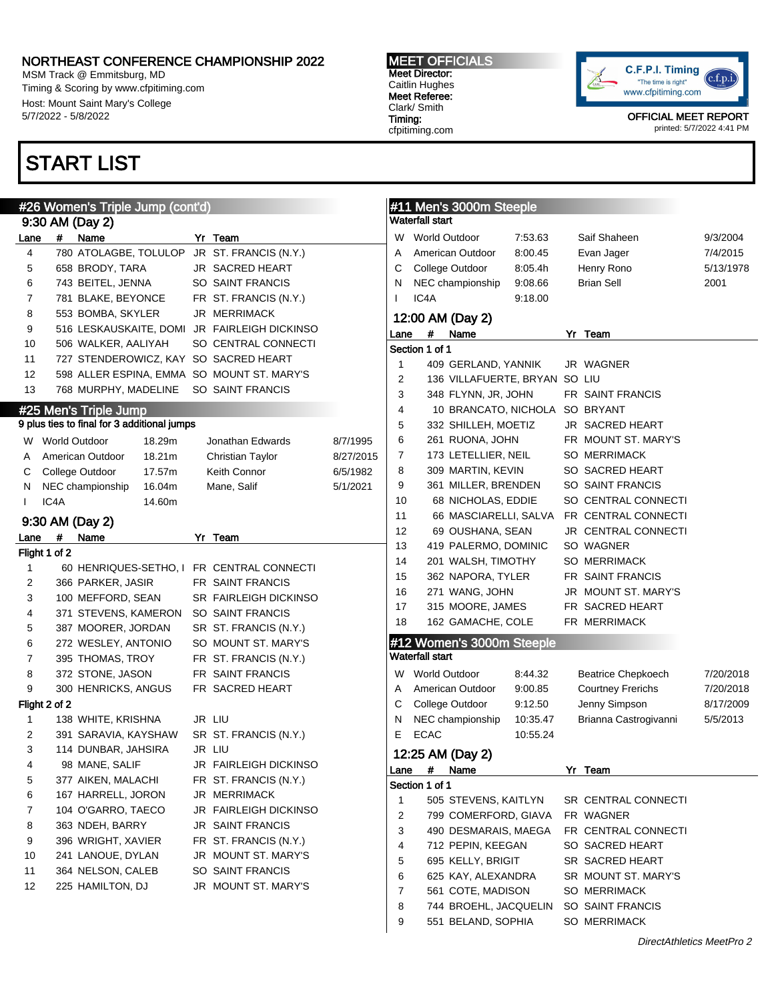MSM Track @ Emmitsburg, MD Timing & Scoring by www.cfpitiming.com Host: Mount Saint Mary's College 5/7/2022 - 5/8/2022

## START LIST

## #26 Women's Triple Jump (cont'd) 9:30 AM (Day 2) Lane # Name Yr Team 4 780 ATOLAGBE, TOLULOP JR ST. FRANCIS (N.Y.) 5 658 BRODY, TARA JR SACRED HEART 6 743 BEITEL, JENNA SO SAINT FRANCIS 7 781 BLAKE, BEYONCE FR ST. FRANCIS (N.Y.) 8 553 BOMBA, SKYLER JR MERRIMACK 9 516 LESKAUSKAITE, DOMI JR FAIRLEIGH DICKINSO 10 506 WALKER, AALIYAH SO CENTRAL CONNECTI 11 727 STENDEROWICZ, KAY SO SACRED HEART 12 598 ALLER ESPINA, EMMA SO MOUNT ST. MARY'S 13 768 MURPHY, MADELINE SO SAINT FRANCIS #25 Men's Triple Jump 9 plus ties to final for 3 additional jumps W World Outdoor 18.29m Jonathan Edwards 8/7/1995 A American Outdoor 18.21m Christian Taylor 8/27/201 C College Outdoor 17.57m Keith Connor 6/5/1982 N NEC championship 16.04m Mane, Salif 5/1/2021 I IC4A 14.60m 9:30 AM (Day 2) Lane # Name Yr Team Flight 1 of 2 1 60 HENRIQUES-SETHO, I FR CENTRAL CONNECTI 2 366 PARKER, JASIR FR SAINT FRANCIS 3 100 MEFFORD, SEAN SR FAIRLEIGH DICKINSO 4 371 STEVENS, KAMERON SO SAINT FRANCIS 5 387 MOORER, JORDAN SR ST. FRANCIS (N.Y.) 6 272 WESLEY, ANTONIO SO MOUNT ST. MARY'S 7 395 THOMAS, TROY FR ST. FRANCIS (N.Y.) 8 372 STONE, JASON FR SAINT FRANCIS 9 300 HENRICKS, ANGUS FR SACRED HEART Flight 2 of 2 1 138 WHITE, KRISHNA JR LIU 2 391 SARAVIA, KAYSHAW SR ST. FRANCIS (N.Y.) 3 114 DUNBAR, JAHSIRA JR LIU 4 98 MANE, SALIF JR FAIRLEIGH DICKINSO 5 377 AIKEN, MALACHI FR ST. FRANCIS (N.Y.) 6 167 HARRELL, JORON JR MERRIMACK 7 104 O'GARRO, TAECO JR FAIRLEIGH DICKINSO 8 363 NDEH, BARRY JR SAINT FRANCIS 9 396 WRIGHT, XAVIER FR ST. FRANCIS (N.Y.) 10 241 LANOUE, DYLAN JR MOUNT ST. MARY'S 11 364 NELSON, CALEB SO SAINT FRANCIS 12 225 HAMILTON, DJ JR MOUNT ST. MARY'S

MEET OFFICIALS Meet Director: Caitlin Hughes Meet Referee: Clark/ Smith Timing: cfpitiming.com



OFFICIAL MEET REPORT printed: 5/7/2022 4:41 PM

|   |        | #11 Men's 3000m Steeple                             |                      |    |                           |           |
|---|--------|-----------------------------------------------------|----------------------|----|---------------------------|-----------|
|   |        | <b>Waterfall start</b>                              |                      |    |                           |           |
|   | W      | <b>World Outdoor</b>                                | 7:53.63              |    | Saif Shaheen              | 9/3/2004  |
|   | A      | American Outdoor                                    | 8:00.45              |    | Evan Jager                | 7/4/2015  |
|   | С      | College Outdoor                                     | 8:05.4h              |    | Henry Rono                | 5/13/1978 |
|   | N      | NEC championship                                    | 9.08.66              |    | <b>Brian Sell</b>         | 2001      |
|   | L      | IC <sub>4</sub> A                                   | 9:18.00              |    |                           |           |
|   |        | 12:00 AM (Day 2)                                    |                      |    |                           |           |
|   | Lane   | Name<br>#                                           |                      | Yr | Team                      |           |
|   |        | Section 1 of 1                                      |                      |    |                           |           |
|   | 1      | 409 GERLAND, YANNIK                                 |                      |    | JR WAGNER                 |           |
|   | 2      | 136 VILLAFUERTE, BRYAN SO LIU                       |                      |    |                           |           |
|   | 3      | 348 FLYNN, JR, JOHN                                 |                      |    | FR SAINT FRANCIS          |           |
|   | 4      | 10 BRANCATO, NICHOLA SO BRYANT                      |                      |    |                           |           |
|   | 5      | 332 SHILLEH, MOETIZ                                 |                      |    | JR SACRED HEART           |           |
|   | 6      | 261 RUONA, JOHN                                     |                      |    | FR MOUNT ST. MARY'S       |           |
| 5 | 7      | 173 LETELLIER, NEIL                                 |                      |    | <b>SO MERRIMACK</b>       |           |
|   | 8      | 309 MARTIN, KEVIN                                   |                      |    | SO SACRED HEART           |           |
|   | 9      | 361 MILLER, BRENDEN                                 |                      |    | SO SAINT FRANCIS          |           |
|   | 10     | 68 NICHOLAS, EDDIE                                  |                      |    | SO CENTRAL CONNECTI       |           |
|   | 11     | 66 MASCIARELLI, SALVA                               |                      |    | FR CENTRAL CONNECTI       |           |
|   | 12     | 69 OUSHANA, SEAN                                    |                      |    | JR CENTRAL CONNECTI       |           |
|   | 13     | 419 PALERMO, DOMINIC                                |                      |    | SO WAGNER                 |           |
|   | 14     | 201 WALSH, TIMOTHY                                  |                      |    | <b>SO MERRIMACK</b>       |           |
|   | 15     | 362 NAPORA, TYLER                                   |                      |    | FR SAINT FRANCIS          |           |
|   | 16     | 271 WANG, JOHN                                      |                      |    | JR MOUNT ST. MARY'S       |           |
|   | 17     | 315 MOORE, JAMES                                    |                      |    | FR SACRED HEART           |           |
|   | 18     | 162 GAMACHE, COLE                                   |                      |    | FR MERRIMACK              |           |
|   |        |                                                     |                      |    |                           |           |
|   |        | #12 Women's 3000m Steeple<br><b>Waterfall start</b> |                      |    |                           |           |
|   | W      | <b>World Outdoor</b>                                | 8:44.32              |    | <b>Beatrice Chepkoech</b> | 7/20/2018 |
|   | A      | American Outdoor                                    | 9:00.85              |    | <b>Courtney Frerichs</b>  | 7/20/2018 |
|   |        |                                                     |                      |    |                           |           |
|   | С      | College Outdoor                                     | 9:12.50              |    | Jenny Simpson             | 8/17/2009 |
|   | N<br>E | NEC championship<br><b>ECAC</b>                     | 10:35.47<br>10:55.24 |    | Brianna Castrogivanni     | 5/5/2013  |
|   |        |                                                     |                      |    |                           |           |
|   |        | 12:25 AM (Day 2)                                    |                      |    |                           |           |
|   | Lane   | #<br>Name<br>Section 1 of 1                         |                      | Yr | Team                      |           |
|   | 1      | 505 STEVENS, KAITLYN                                |                      |    | SR CENTRAL CONNECTI       |           |
|   |        |                                                     |                      |    |                           |           |
|   | 2      | 799 COMERFORD, GIAVA                                |                      |    | FR WAGNER                 |           |
|   | 3      | 490 DESMARAIS, MAEGA                                |                      |    | FR CENTRAL CONNECTI       |           |
|   | 4      | 712 PEPIN, KEEGAN                                   |                      |    | SO SACRED HEART           |           |
|   | 5      | 695 KELLY, BRIGIT                                   |                      |    | SR SACRED HEART           |           |
|   | 6      | 625 KAY, ALEXANDRA                                  |                      |    | SR MOUNT ST. MARY'S       |           |
|   | 7      | 561 COTE, MADISON                                   |                      |    | SO MERRIMACK              |           |
|   | 8      | 744 BROEHL, JACQUELIN                               |                      |    | SO SAINT FRANCIS          |           |

9 551 BELAND, SOPHIA SO MERRIMACK

DirectAthletics MeetPro 2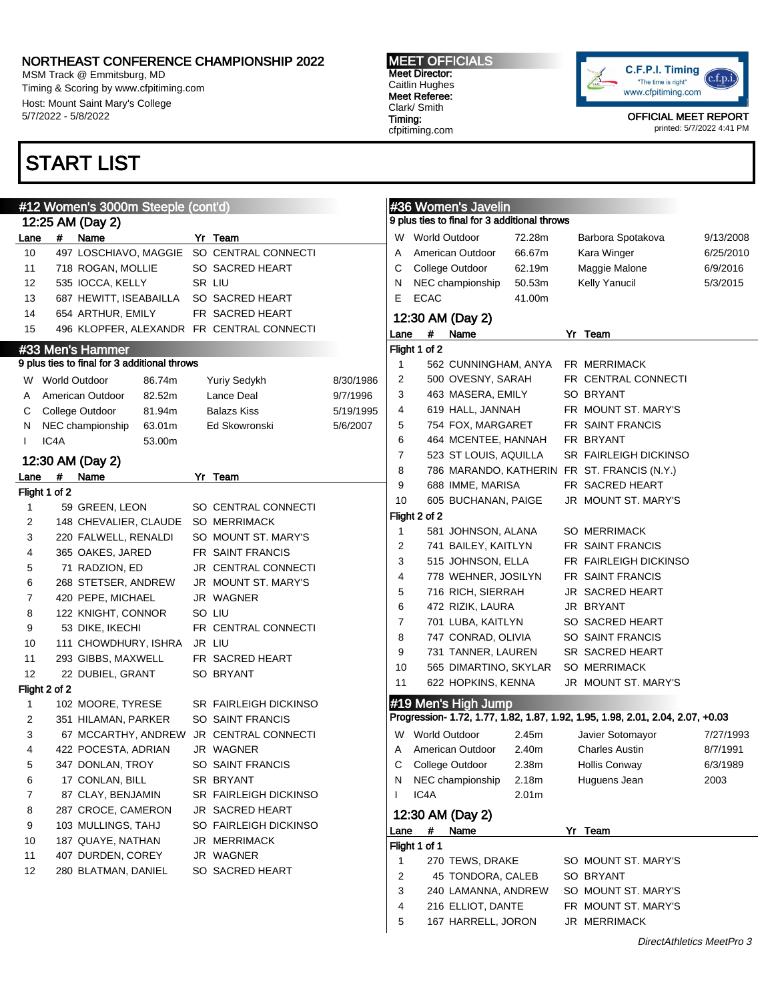MSM Track @ Emmitsburg, MD Timing & Scoring by www.cfpitiming.com Host: Mount Saint Mary's College 5/7/2022 - 5/8/2022

#12 Women's 3000m Steeple (cont'd)

## START LIST

Flight 1 of 2

Flight 2 of 2

#### MEET OFFICIALS Meet Director: Caitlin Hughes Meet Referee: Clark/ Smith Timing:

cfpitiming.com



OFFICIAL MEET REPORT printed: 5/7/2022 4:41 PM

|                                |              | #12 Women's 3000m Steeple (cont'd)           |                       |           |                         |               | #36 Women's Javelin                          |        |                                                                                |           |
|--------------------------------|--------------|----------------------------------------------|-----------------------|-----------|-------------------------|---------------|----------------------------------------------|--------|--------------------------------------------------------------------------------|-----------|
|                                |              | 12:25 AM (Day 2)                             |                       |           |                         |               | 9 plus ties to final for 3 additional throws |        |                                                                                |           |
| .ane                           |              | # Name                                       | Yr Team               |           | W                       |               | <b>World Outdoor</b>                         | 72.28m | Barbora Spotakova                                                              | 9/13/2008 |
| 10                             |              | 497 LOSCHIAVO, MAGGIE SO CENTRAL CONNECTI    |                       |           | Α                       |               | American Outdoor                             | 66.67m | Kara Winger                                                                    | 6/25/2010 |
| 11                             |              | 718 ROGAN, MOLLIE                            | SO SACRED HEART       |           | С                       |               | College Outdoor                              | 62.19m | Maggie Malone                                                                  | 6/9/2016  |
| 12                             |              | 535 IOCCA, KELLY                             | SR LIU                |           | N                       |               | NEC championship                             | 50.53m | Kelly Yanucil                                                                  | 5/3/2015  |
| 13                             |              | 687 HEWITT, ISEABAILLA                       | SO SACRED HEART       |           | E                       | <b>ECAC</b>   |                                              | 41.00m |                                                                                |           |
| 14                             |              | 654 ARTHUR, EMILY                            | FR SACRED HEART       |           |                         |               | 12:30 AM (Day 2)                             |        |                                                                                |           |
| 15                             |              | 496 KLOPFER, ALEXANDR FR CENTRAL CONNECTI    |                       |           | Lane                    |               | # Name                                       |        | Yr Team                                                                        |           |
|                                |              | #33 Men's Hammer                             |                       |           |                         | Flight 1 of 2 |                                              |        |                                                                                |           |
|                                |              | ) plus ties to final for 3 additional throws |                       |           | 1                       |               |                                              |        | 562 CUNNINGHAM, ANYA FR MERRIMACK                                              |           |
|                                |              | W World Outdoor<br>86.74m                    | Yuriy Sedykh          | 8/30/1986 | 2                       |               | 500 OVESNY, SARAH                            |        | FR CENTRAL CONNECTI                                                            |           |
| A                              |              | American Outdoor<br>82.52m                   | Lance Deal            | 9/7/1996  | 3                       |               | 463 MASERA, EMILY                            |        | SO BRYANT                                                                      |           |
| С                              |              | College Outdoor<br>81.94m                    | <b>Balazs Kiss</b>    | 5/19/1995 | 4                       |               | 619 HALL, JANNAH                             |        | FR MOUNT ST. MARY'S                                                            |           |
|                                |              | N NEC championship<br>63.01m                 | Ed Skowronski         | 5/6/2007  | 5                       |               | 754 FOX, MARGARET                            |        | FR SAINT FRANCIS                                                               |           |
| T                              | IC4A         | 53.00m                                       |                       |           | 6                       |               | 464 MCENTEE, HANNAH                          |        | FR BRYANT                                                                      |           |
|                                |              |                                              |                       |           | $\overline{7}$          |               | 523 ST LOUIS, AQUILLA                        |        | SR FAIRLEIGH DICKINSO                                                          |           |
|                                |              | 12:30 AM (Day 2)                             |                       |           | 8                       |               |                                              |        | 786 MARANDO, KATHERIN FR ST. FRANCIS (N.Y.)                                    |           |
| .ane                           | #            | Name                                         | Yr Team               |           | 9                       |               | 688 IMME, MARISA                             |        | FR SACRED HEART                                                                |           |
|                                | light 1 of 2 |                                              |                       |           | 10                      |               | 605 BUCHANAN, PAIGE                          |        | JR MOUNT ST. MARY'S                                                            |           |
| $\mathbf{1}$                   |              | 59 GREEN, LEON                               | SO CENTRAL CONNECTI   |           |                         | Flight 2 of 2 |                                              |        |                                                                                |           |
| 2                              |              | 148 CHEVALIER, CLAUDE SO MERRIMACK           |                       |           | $\mathbf{1}$            |               | 581 JOHNSON, ALANA                           |        | <b>SO MERRIMACK</b>                                                            |           |
| 3                              |              | 220 FALWELL, RENALDI                         | SO MOUNT ST. MARY'S   |           | $\overline{\mathbf{c}}$ |               | 741 BAILEY, KAITLYN                          |        | FR SAINT FRANCIS                                                               |           |
| 4                              |              | 365 OAKES, JARED                             | FR SAINT FRANCIS      |           | 3                       |               | 515 JOHNSON, ELLA                            |        | FR FAIRLEIGH DICKINSO                                                          |           |
| 5                              |              | 71 RADZION, ED                               | JR CENTRAL CONNECTI   |           | 4                       |               | 778 WEHNER, JOSILYN                          |        | FR SAINT FRANCIS                                                               |           |
| 6                              |              | 268 STETSER, ANDREW                          | JR MOUNT ST. MARY'S   |           | 5                       |               | 716 RICH, SIERRAH                            |        | JR SACRED HEART                                                                |           |
| 7                              |              | 420 PEPE, MICHAEL                            | JR WAGNER             |           | 6                       |               | 472 RIZIK, LAURA                             |        | JR BRYANT                                                                      |           |
| 8                              |              | 122 KNIGHT, CONNOR                           | SO LIU                |           | $\overline{7}$          |               | 701 LUBA, KAITLYN                            |        | SO SACRED HEART                                                                |           |
| 9                              |              | 53 DIKE, IKECHI                              | FR CENTRAL CONNECTI   |           | 8                       |               | 747 CONRAD, OLIVIA                           |        | SO SAINT FRANCIS                                                               |           |
| 10                             |              | 111 CHOWDHURY, ISHRA                         | JR LIU                |           | 9                       |               | 731 TANNER, LAUREN                           |        | SR SACRED HEART                                                                |           |
| 11                             |              | 293 GIBBS, MAXWELL                           | FR SACRED HEART       |           | 10                      |               | 565 DIMARTINO, SKYLAR                        |        | SO MERRIMACK                                                                   |           |
| 12                             |              | 22 DUBIEL, GRANT                             | SO BRYANT             |           | 11                      |               | 622 HOPKINS, KENNA                           |        | JR MOUNT ST. MARY'S                                                            |           |
|                                | light 2 of 2 |                                              | SR FAIRLEIGH DICKINSO |           |                         |               | #19 Men's High Jump                          |        |                                                                                |           |
| $\mathbf{1}$<br>$\overline{2}$ |              | 102 MOORE, TYRESE                            | SO SAINT FRANCIS      |           |                         |               |                                              |        | Progression- 1.72, 1.77, 1.82, 1.87, 1.92, 1.95, 1.98, 2.01, 2.04, 2.07, +0.03 |           |
|                                |              | 351 HILAMAN, PARKER                          |                       |           |                         |               |                                              |        |                                                                                |           |
| 3                              |              | 67 MCCARTHY, ANDREW                          | JR CENTRAL CONNECTI   |           |                         |               | W World Outdoor                              | 2.45m  | Javier Sotomayor                                                               | 7/27/1993 |
| 4                              |              | 422 POCESTA, ADRIAN                          | JR WAGNER             |           | C                       |               | American Outdoor                             | 2.40m  | <b>Charles Austin</b>                                                          | 8/7/1991  |
| 5                              |              | 347 DONLAN, TROY                             | SO SAINT FRANCIS      |           |                         |               | College Outdoor                              | 2.38m  | <b>Hollis Conway</b>                                                           | 6/3/1989  |
| 6                              |              | 17 CONLAN, BILL                              | SR BRYANT             |           | N.                      |               | NEC championship                             | 2.18m  | Huguens Jean                                                                   | 2003      |
| 7                              |              | 87 CLAY, BENJAMIN                            | SR FAIRLEIGH DICKINSO |           |                         | IC4A          |                                              | 2.01m  |                                                                                |           |
| 8                              |              | 287 CROCE, CAMERON                           | JR SACRED HEART       |           |                         |               | 12:30 AM (Day 2)                             |        |                                                                                |           |
| 9                              |              | 103 MULLINGS, TAHJ                           | SO FAIRLEIGH DICKINSO |           | Lane                    | #             | Name                                         |        | Yr Team                                                                        |           |
| 10                             |              | 187 QUAYE, NATHAN                            | JR MERRIMACK          |           |                         | Flight 1 of 1 |                                              |        |                                                                                |           |
| 11                             |              | 407 DURDEN, COREY                            | JR WAGNER             |           | $\mathbf{1}$            |               | 270 TEWS, DRAKE                              |        | SO MOUNT ST. MARY'S                                                            |           |
| 12                             |              | 280 BLATMAN, DANIEL                          | SO SACRED HEART       |           | 2                       |               | 45 TONDORA, CALEB                            |        | SO BRYANT                                                                      |           |
|                                |              |                                              |                       |           | 3                       |               | 240 LAMANNA, ANDREW                          |        | SO MOUNT ST. MARY'S                                                            |           |
|                                |              |                                              |                       |           | 4                       |               | 216 ELLIOT, DANTE                            |        | FR MOUNT ST. MARY'S                                                            |           |
|                                |              |                                              |                       |           | 5                       |               | 167 HARRELL, JORON                           |        | JR MERRIMACK                                                                   |           |
|                                |              |                                              |                       |           |                         |               |                                              |        |                                                                                |           |

#### DirectAthletics MeetPro 3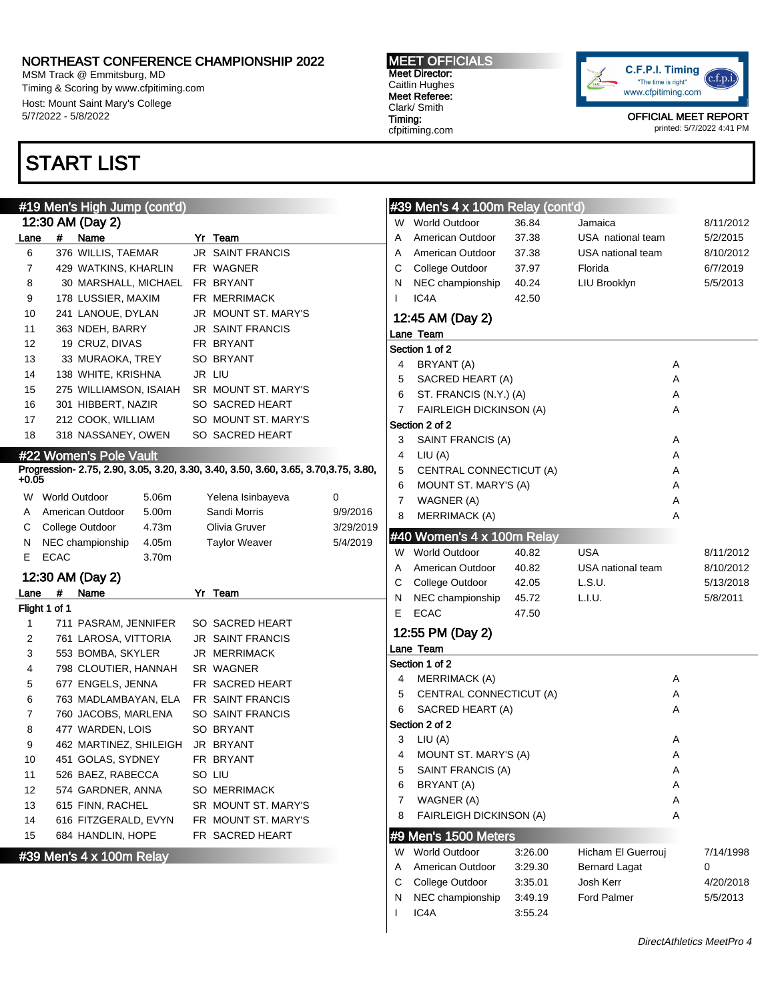MSM Track @ Emmitsburg, MD Timing & Scoring by www.cfpitiming.com Host: Mount Saint Mary's College 5/7/2022 - 5/8/2022

#19 Men's High Jump (cont'd)

## START LIST

#### MEET OFFICIALS Meet Director: Caitlin Hughes Meet Referee: Clark/ Smith Timing: cfpitiming.com



OFFICIAL MEET REPORT

printed: 5/7/2022 4:41 PM

|         | #19 Men's High Jump (cont'd)                                                         |                                     |           | #39 Men's 4 x 100m Relay (cont'd) |                                |                    |                      |   |           |
|---------|--------------------------------------------------------------------------------------|-------------------------------------|-----------|-----------------------------------|--------------------------------|--------------------|----------------------|---|-----------|
|         | 12:30 AM (Day 2)                                                                     |                                     |           | W World Outdoor                   |                                | 36.84              | Jamaica              |   | 8/11/2012 |
| Lane    | # Name                                                                               | Yr Team                             |           | A                                 | American Outdoor               | 37.38              | USA national team    |   | 5/2/2015  |
| 6       | 376 WILLIS, TAEMAR                                                                   | <b>JR SAINT FRANCIS</b>             |           | A                                 | American Outdoor               | 37.38              | USA national team    |   | 8/10/2012 |
| 7       | 429 WATKINS, KHARLIN                                                                 | FR WAGNER                           |           | С                                 | College Outdoor                | 37.97              | Florida              |   | 6/7/2019  |
| 8       | 30 MARSHALL, MICHAEL FR BRYANT                                                       |                                     |           | N                                 | NEC championship               | 40.24              | LIU Brooklyn         |   | 5/5/2013  |
| 9       | 178 LUSSIER, MAXIM                                                                   | FR MERRIMACK                        |           | IC <sub>4</sub> A<br>$\mathbf{I}$ |                                | 42.50              |                      |   |           |
| 10      | 241 LANOUE, DYLAN                                                                    | JR MOUNT ST. MARY'S                 |           | 12:45 AM (Day 2)                  |                                |                    |                      |   |           |
| 11      | 363 NDEH, BARRY                                                                      | <b>JR SAINT FRANCIS</b>             |           | Lane Team                         |                                |                    |                      |   |           |
| 12      | 19 CRUZ, DIVAS                                                                       | FR BRYANT                           |           | Section 1 of 2                    |                                |                    |                      |   |           |
| 13      | 33 MURAOKA, TREY                                                                     | SO BRYANT                           |           | BRYANT (A)<br>4                   |                                |                    |                      | Α |           |
| 14      | 138 WHITE, KRISHNA                                                                   | JR LIU                              |           | 5                                 | SACRED HEART (A)               |                    |                      | Α |           |
| 15      | 275 WILLIAMSON, ISAIAH                                                               | SR MOUNT ST. MARY'S                 |           | 6                                 | ST. FRANCIS (N.Y.) (A)         |                    |                      | Α |           |
| 16      | 301 HIBBERT, NAZIR                                                                   | SO SACRED HEART                     |           | 7                                 | <b>FAIRLEIGH DICKINSON (A)</b> |                    |                      | Α |           |
| 17      | 212 COOK, WILLIAM                                                                    | SO MOUNT ST. MARY'S                 |           | Section 2 of 2                    |                                |                    |                      |   |           |
| 18      | 318 NASSANEY, OWEN                                                                   | SO SACRED HEART                     |           | 3                                 | SAINT FRANCIS (A)              |                    |                      | Α |           |
|         | #22 Women's Pole Vault                                                               |                                     |           | LIU (A)<br>4                      |                                |                    |                      | Α |           |
|         | Progression- 2.75, 2.90, 3.05, 3.20, 3.30, 3.40, 3.50, 3.60, 3.65, 3.70, 3.75, 3.80, |                                     |           | 5                                 | CENTRAL CONNECTICUT (A)        |                    |                      | Α |           |
| $+0.05$ |                                                                                      |                                     |           | 6                                 | MOUNT ST. MARY'S (A)           |                    |                      | Α |           |
|         | W World Outdoor<br>5.06m                                                             | Yelena Isinbayeva                   | 0         | 7<br>WAGNER (A)                   |                                |                    |                      | Α |           |
| A       | American Outdoor<br>5.00m                                                            | Sandi Morris                        | 9/9/2016  | 8                                 | <b>MERRIMACK (A)</b>           |                    |                      | Α |           |
| С       | College Outdoor<br>4.73m                                                             | Olivia Gruver                       | 3/29/2019 |                                   |                                |                    |                      |   |           |
| N       | NEC championship<br>4.05m                                                            | <b>Taylor Weaver</b>                | 5/4/2019  | #40 Women's 4 x 100m Relay        |                                |                    |                      |   |           |
| Е.      | <b>ECAC</b>                                                                          |                                     |           | W World Outdoor                   |                                | 40.82              | <b>USA</b>           |   | 8/11/2012 |
|         | 3.70m                                                                                |                                     |           |                                   |                                |                    |                      |   |           |
|         |                                                                                      |                                     |           | A                                 | American Outdoor               | 40.82              | USA national team    |   | 8/10/2012 |
|         | 12:30 AM (Day 2)                                                                     |                                     |           | С                                 | College Outdoor                | 42.05              | L.S.U.               |   | 5/13/2018 |
| Lane    | #<br>Name                                                                            | Yr Team                             |           | N                                 | NEC championship               | 45.72              | L.I.U.               |   | 5/8/2011  |
|         | Flight 1 of 1                                                                        |                                     |           | <b>ECAC</b><br>E.                 |                                | 47.50              |                      |   |           |
| 1       | 711 PASRAM, JENNIFER                                                                 | SO SACRED HEART                     |           | 12:55 PM (Day 2)                  |                                |                    |                      |   |           |
| 2       | 761 LAROSA, VITTORIA                                                                 | <b>JR SAINT FRANCIS</b>             |           | Lane Team                         |                                |                    |                      |   |           |
| 3       | 553 BOMBA, SKYLER                                                                    | JR MERRIMACK                        |           | Section 1 of 2                    |                                |                    |                      |   |           |
| 4       | 798 CLOUTIER, HANNAH                                                                 | SR WAGNER                           |           | 4                                 | MERRIMACK (A)                  |                    |                      | Α |           |
| 5       | 677 ENGELS, JENNA                                                                    | FR SACRED HEART                     |           | 5                                 | CENTRAL CONNECTICUT (A)        |                    |                      | Α |           |
| 6       | 763 MADLAMBAYAN, ELA                                                                 | FR SAINT FRANCIS                    |           | 6                                 | SACRED HEART (A)               |                    |                      | Α |           |
| 7       | 760 JACOBS, MARLENA                                                                  | SO SAINT FRANCIS                    |           | Section 2 of 2                    |                                |                    |                      |   |           |
| 8       | 477 WARDEN, LOIS                                                                     | SO BRYANT                           |           | LIU (A)<br>3                      |                                |                    |                      | Α |           |
| 9       | 462 MARTINEZ, SHILEIGH                                                               | JR BRYANT                           |           | 4                                 | MOUNT ST. MARY'S (A)           |                    |                      | Α |           |
| 10      | 451 GOLAS, SYDNEY                                                                    | FR BRYANT                           |           | 5                                 | SAINT FRANCIS (A)              |                    |                      | Α |           |
| 11      | 526 BAEZ, RABECCA                                                                    | SO LIU                              |           | 6<br>BRYANT (A)                   |                                |                    |                      | Α |           |
| 12      | 574 GARDNER, ANNA<br>615 FINN, RACHEL                                                | SO MERRIMACK<br>SR MOUNT ST. MARY'S |           | WAGNER (A)<br>7                   |                                |                    |                      | Α |           |
| 13      |                                                                                      |                                     |           | 8                                 | <b>FAIRLEIGH DICKINSON (A)</b> |                    |                      | Α |           |
| 14      | 616 FITZGERALD, EVYN                                                                 | FR MOUNT ST. MARY'S                 |           |                                   |                                |                    |                      |   |           |
| 15      | 684 HANDLIN, HOPE                                                                    | FR SACRED HEART                     |           | #9 Men's 1500 Meters              |                                |                    |                      |   |           |
|         | #39 Men's 4 x 100m Relay                                                             |                                     |           | W World Outdoor                   |                                | 3:26.00            | Hicham El Guerrouj   |   | 7/14/1998 |
|         |                                                                                      |                                     |           | A                                 | American Outdoor               | 3:29.30            | <b>Bernard Lagat</b> |   | 0         |
|         |                                                                                      |                                     |           | C                                 | College Outdoor                | 3:35.01            | Josh Kerr            |   | 4/20/2018 |
|         |                                                                                      |                                     |           | N.<br>IC4A<br>$\mathbf{I}$        | NEC championship               | 3:49.19<br>3:55.24 | <b>Ford Palmer</b>   |   | 5/5/2013  |

#### DirectAthletics MeetPro 4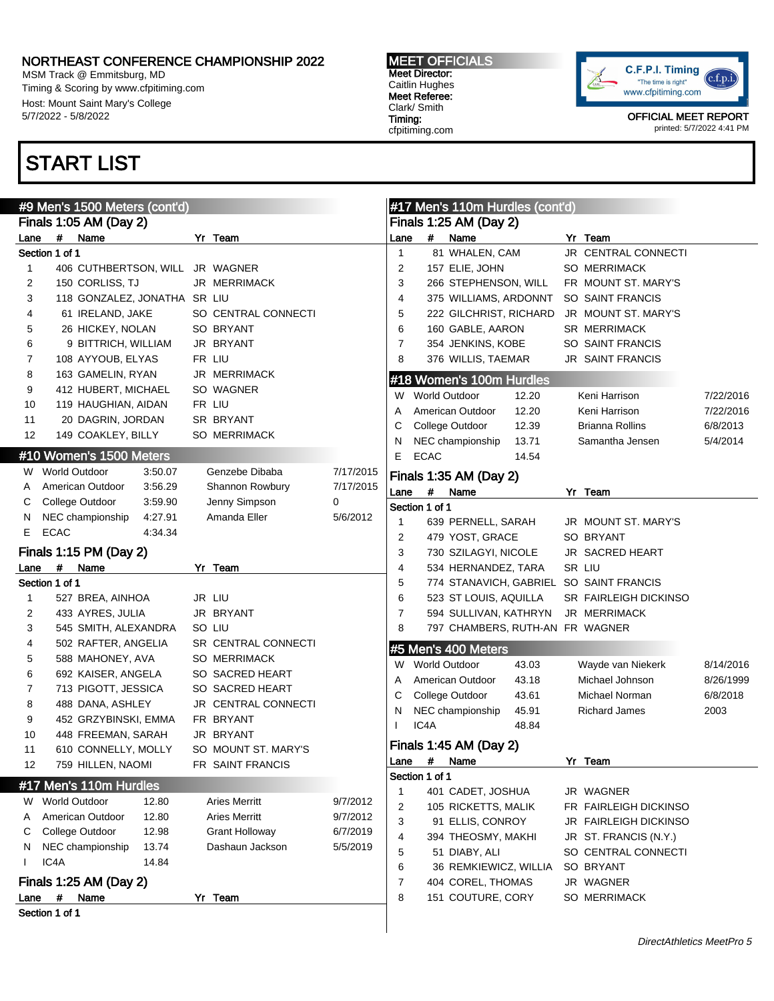MSM Track @ Emmitsburg, MD Timing & Scoring by www.cfpitiming.com Host: Mount Saint Mary's College 5/7/2022 - 5/8/2022

# START LIST

MEET OFFICIALS Meet Director: Caitlin Hughes Meet Referee: Clark/ Smith Timing: cfpitiming.com



|                | #9 Men's 1500 Meters (cont'd) |                                 |         |  |                       |           |                         |                | #17 Men's 110m Hurdles (cont'd) |                                 |       |  |                                         |           |  |
|----------------|-------------------------------|---------------------------------|---------|--|-----------------------|-----------|-------------------------|----------------|---------------------------------|---------------------------------|-------|--|-----------------------------------------|-----------|--|
|                |                               | Finals 1:05 AM (Day 2)          |         |  |                       |           |                         |                |                                 | Finals 1:25 AM (Day 2)          |       |  |                                         |           |  |
| Lane           | $\#$                          | Name                            |         |  | Yr Team               |           | Lane                    |                | $\#$                            | Name                            |       |  | Yr Team                                 |           |  |
|                | Section 1 of 1                |                                 |         |  |                       |           | $\mathbf{1}$            |                |                                 | 81 WHALEN, CAM                  |       |  | JR CENTRAL CONNECTI                     |           |  |
| 1              |                               | 406 CUTHBERTSON, WILL JR WAGNER |         |  |                       |           | $\overline{\mathbf{c}}$ |                |                                 | 157 ELIE, JOHN                  |       |  | <b>SO MERRIMACK</b>                     |           |  |
| $\overline{c}$ |                               | 150 CORLISS, TJ                 |         |  | <b>JR MERRIMACK</b>   |           | 3                       |                |                                 | 266 STEPHENSON, WILL            |       |  | FR MOUNT ST. MARY'S                     |           |  |
| 3              |                               | 118 GONZALEZ, JONATHA SR LIU    |         |  |                       |           | 4                       |                |                                 | 375 WILLIAMS, ARDONNT           |       |  | SO SAINT FRANCIS                        |           |  |
| 4              |                               | 61 IRELAND, JAKE                |         |  | SO CENTRAL CONNECTI   |           | 5                       |                |                                 | 222 GILCHRIST, RICHARD          |       |  | JR MOUNT ST. MARY'S                     |           |  |
| 5              |                               | 26 HICKEY, NOLAN                |         |  | SO BRYANT             |           | 6                       |                |                                 | 160 GABLE, AARON                |       |  | <b>SR MERRIMACK</b>                     |           |  |
| 6              |                               | 9 BITTRICH, WILLIAM             |         |  | JR BRYANT             |           | $\overline{7}$          |                |                                 | 354 JENKINS, KOBE               |       |  | SO SAINT FRANCIS                        |           |  |
| $\overline{7}$ |                               | 108 AYYOUB, ELYAS               |         |  | FR LIU                |           | 8                       |                |                                 | 376 WILLIS, TAEMAR              |       |  | <b>JR SAINT FRANCIS</b>                 |           |  |
|                |                               |                                 |         |  | <b>JR MERRIMACK</b>   |           |                         |                |                                 |                                 |       |  |                                         |           |  |
| 8              |                               | 163 GAMELIN, RYAN               |         |  |                       |           |                         |                |                                 | #18 Women's 100m Hurdles        |       |  |                                         |           |  |
| 9              |                               | 412 HUBERT, MICHAEL             |         |  | SO WAGNER             |           | W                       |                |                                 | <b>World Outdoor</b>            | 12.20 |  | Keni Harrison                           | 7/22/2016 |  |
| 10             |                               | 119 HAUGHIAN, AIDAN             |         |  | FR LIU                |           | Α                       |                |                                 | American Outdoor                | 12.20 |  | Keni Harrison                           | 7/22/2016 |  |
| 11             |                               | 20 DAGRIN, JORDAN               |         |  | SR BRYANT             |           | С                       |                |                                 | College Outdoor                 | 12.39 |  | <b>Brianna Rollins</b>                  | 6/8/2013  |  |
| 12             |                               | 149 COAKLEY, BILLY              |         |  | SO MERRIMACK          |           | N                       |                |                                 | NEC championship                | 13.71 |  | Samantha Jensen                         | 5/4/2014  |  |
|                |                               | #10 Women's 1500 Meters         |         |  |                       |           | Е                       | <b>ECAC</b>    |                                 |                                 | 14.54 |  |                                         |           |  |
| W              | <b>World Outdoor</b>          |                                 | 3:50.07 |  | Genzebe Dibaba        | 7/17/2015 |                         |                |                                 |                                 |       |  |                                         |           |  |
| A              |                               | American Outdoor                | 3:56.29 |  | Shannon Rowbury       | 7/17/2015 |                         |                |                                 | Finals 1:35 AM (Day 2)          |       |  |                                         |           |  |
| С              |                               | College Outdoor                 | 3:59.90 |  | Jenny Simpson         | 0         | Lane                    |                | #                               | Name                            |       |  | Yr Team                                 |           |  |
| N              |                               | NEC championship                | 4:27.91 |  | Amanda Eller          | 5/6/2012  |                         | Section 1 of 1 |                                 |                                 |       |  |                                         |           |  |
| E              | <b>ECAC</b>                   |                                 | 4:34.34 |  |                       |           | $\mathbf 1$             |                |                                 | 639 PERNELL, SARAH              |       |  | JR MOUNT ST. MARY'S                     |           |  |
|                |                               |                                 |         |  |                       |           | 2                       |                |                                 | 479 YOST, GRACE                 |       |  | SO BRYANT                               |           |  |
|                |                               | Finals 1:15 PM (Day 2)          |         |  |                       |           | 3                       |                |                                 | 730 SZILAGYI, NICOLE            |       |  | JR SACRED HEART                         |           |  |
| Lane           | #                             | Name                            |         |  | Yr Team               |           | 4                       |                |                                 | 534 HERNANDEZ, TARA             |       |  | SR LIU                                  |           |  |
|                | Section 1 of 1                |                                 |         |  |                       |           | 5                       |                |                                 |                                 |       |  | 774 STANAVICH, GABRIEL SO SAINT FRANCIS |           |  |
| 1              |                               | 527 BREA, AINHOA                |         |  | JR LIU                |           | 6                       |                |                                 | 523 ST LOUIS, AQUILLA           |       |  | <b>SR FAIRLEIGH DICKINSO</b>            |           |  |
| $\overline{c}$ |                               | 433 AYRES, JULIA                |         |  | JR BRYANT             |           | $\overline{7}$          |                |                                 | 594 SULLIVAN, KATHRYN           |       |  | JR MERRIMACK                            |           |  |
| 3              |                               | 545 SMITH, ALEXANDRA            |         |  | SO LIU                |           | 8                       |                |                                 | 797 CHAMBERS, RUTH-AN FR WAGNER |       |  |                                         |           |  |
| 4              |                               | 502 RAFTER, ANGELIA             |         |  | SR CENTRAL CONNECTI   |           |                         |                |                                 | #5 Men's 400 Meters             |       |  |                                         |           |  |
| 5              |                               | 588 MAHONEY, AVA                |         |  | <b>SO MERRIMACK</b>   |           |                         |                |                                 |                                 |       |  |                                         |           |  |
| 6              |                               | 692 KAISER, ANGELA              |         |  | SO SACRED HEART       |           | W                       |                |                                 | <b>World Outdoor</b>            | 43.03 |  | Wayde van Niekerk                       | 8/14/2016 |  |
| $\overline{7}$ |                               | 713 PIGOTT, JESSICA             |         |  | SO SACRED HEART       |           | Α                       |                |                                 | American Outdoor                | 43.18 |  | Michael Johnson                         | 8/26/1999 |  |
| 8              |                               | 488 DANA, ASHLEY                |         |  | JR CENTRAL CONNECTI   |           | С                       |                |                                 | College Outdoor                 | 43.61 |  | Michael Norman                          | 6/8/2018  |  |
| 9              |                               | 452 GRZYBINSKI, EMMA            |         |  | FR BRYANT             |           | N                       |                |                                 | NEC championship                | 45.91 |  | <b>Richard James</b>                    | 2003      |  |
| 10             |                               | 448 FREEMAN, SARAH              |         |  | JR BRYANT             |           |                         | IC4A           |                                 |                                 | 48.84 |  |                                         |           |  |
| 11             |                               | 610 CONNELLY, MOLLY             |         |  | SO MOUNT ST. MARY'S   |           |                         |                |                                 | Finals 1:45 AM (Day 2)          |       |  |                                         |           |  |
| 12             |                               |                                 |         |  | FR SAINT FRANCIS      |           | Lane                    |                | $\overline{t}$                  | Name                            |       |  | Yr Team                                 |           |  |
|                |                               | 759 HILLEN, NAOMI               |         |  |                       |           |                         | Section 1 of 1 |                                 |                                 |       |  |                                         |           |  |
|                |                               | #17 Men's 110m Hurdles          |         |  |                       |           | $\mathbf{1}$            |                |                                 | 401 CADET, JOSHUA               |       |  | JR WAGNER                               |           |  |
| W              | <b>World Outdoor</b>          |                                 | 12.80   |  | <b>Aries Merritt</b>  | 9/7/2012  | 2                       |                |                                 | 105 RICKETTS, MALIK             |       |  | FR FAIRLEIGH DICKINSO                   |           |  |
| Α              |                               | American Outdoor                | 12.80   |  | <b>Aries Merritt</b>  | 9/7/2012  | 3                       |                |                                 | 91 ELLIS, CONROY                |       |  | JR FAIRLEIGH DICKINSO                   |           |  |
| С              |                               | College Outdoor                 | 12.98   |  | <b>Grant Holloway</b> | 6/7/2019  | 4                       |                |                                 | 394 THEOSMY, MAKHI              |       |  |                                         |           |  |
| N              |                               | NEC championship                | 13.74   |  | Dashaun Jackson       | 5/5/2019  |                         |                |                                 |                                 |       |  | JR ST. FRANCIS (N.Y.)                   |           |  |
|                | IC4A                          |                                 | 14.84   |  |                       |           | 5                       |                |                                 | 51 DIABY, ALI                   |       |  | SO CENTRAL CONNECTI<br>SO BRYANT        |           |  |
|                |                               |                                 |         |  |                       |           | 6                       |                |                                 | 36 REMKIEWICZ, WILLIA           |       |  |                                         |           |  |
|                |                               | Finals 1:25 AM (Day 2)          |         |  |                       |           | $\overline{7}$          |                |                                 | 404 COREL, THOMAS               |       |  | JR WAGNER                               |           |  |
| Lane           | #                             | Name                            |         |  | Yr Team               |           | 8                       |                |                                 | 151 COUTURE, CORY               |       |  | SO MERRIMACK                            |           |  |
|                | Section 1 of 1                |                                 |         |  |                       |           |                         |                |                                 |                                 |       |  |                                         |           |  |
|                |                               |                                 |         |  |                       |           |                         |                |                                 |                                 |       |  |                                         |           |  |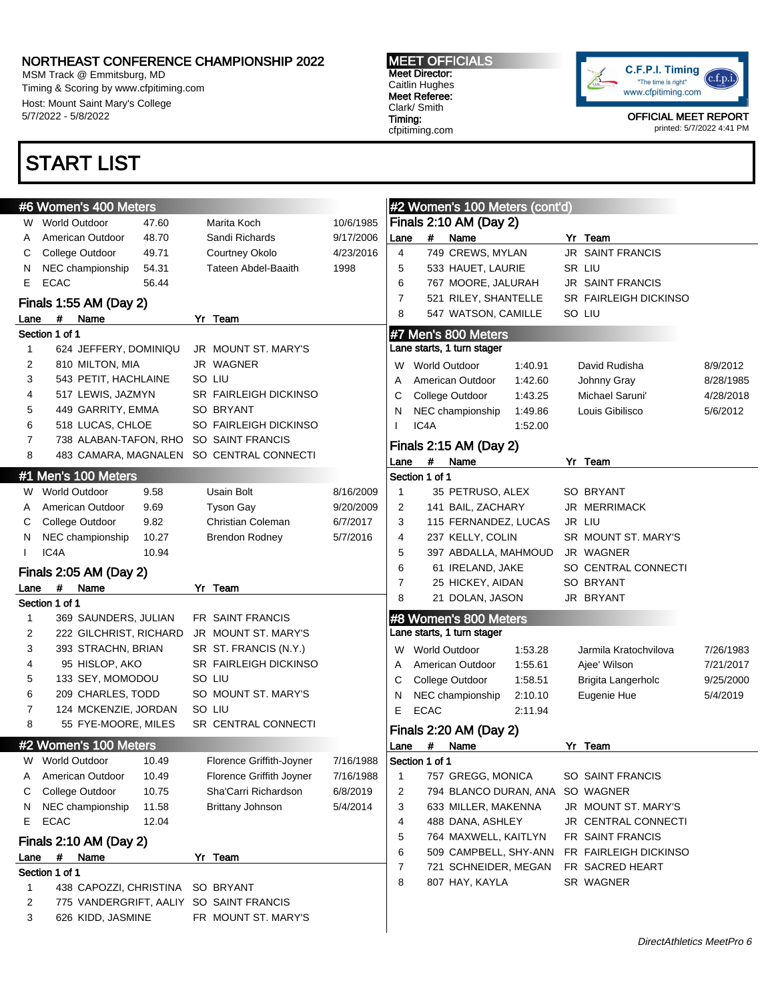MSM Track @ Emmitsburg, MD Timing & Scoring by www.cfpitiming.com Host: Mount Saint Mary's College 5/7/2022 - 5/8/2022

## START LIST

| <b>MEET OFFICIALS</b> |
|-----------------------|
| <b>Meet Director:</b> |
| Caitlin Hughes        |
| Meet Referee:         |
| Clark/ Smith          |
| Timing:               |
| cfpitiming.com        |



|                | #6 Women's 400 Meters            |       |                                          |           |                |                      | #2 Women's 100 Meters (cont'd) |         |                           |           |
|----------------|----------------------------------|-------|------------------------------------------|-----------|----------------|----------------------|--------------------------------|---------|---------------------------|-----------|
| W              | <b>World Outdoor</b>             | 47.60 | Marita Koch                              | 10/6/1985 |                |                      | Finals 2:10 AM (Day 2)         |         |                           |           |
| Α              | American Outdoor                 | 48.70 | Sandi Richards                           | 9/17/2006 | Lane           | $\#$                 | Name                           |         | Yr Team                   |           |
| С              | College Outdoor                  | 49.71 | Courtney Okolo                           | 4/23/2016 | 4              |                      | 749 CREWS, MYLAN               |         | <b>JR SAINT FRANCIS</b>   |           |
| N              | NEC championship                 | 54.31 | Tateen Abdel-Baaith                      | 1998      | 5              |                      | 533 HAUET, LAURIE              |         | SR LIU                    |           |
| E              | <b>ECAC</b>                      | 56.44 |                                          |           | 6              |                      | 767 MOORE, JALURAH             |         | <b>JR SAINT FRANCIS</b>   |           |
|                |                                  |       |                                          |           | $\overline{7}$ |                      | 521 RILEY, SHANTELLE           |         | SR FAIRLEIGH DICKINSO     |           |
|                | Finals 1:55 AM (Day 2)           |       |                                          |           | 8              |                      | 547 WATSON, CAMILLE            |         | SO LIU                    |           |
| Lane           | #<br>Name                        |       | Yr Team                                  |           |                |                      |                                |         |                           |           |
|                | Section 1 of 1                   |       |                                          |           |                |                      | #7 Men's 800 Meters            |         |                           |           |
| -1             | 624 JEFFERY, DOMINIQU            |       | JR MOUNT ST. MARY'S                      |           |                |                      | Lane starts, 1 turn stager     |         |                           |           |
| $\overline{c}$ | 810 MILTON, MIA                  |       | JR WAGNER                                |           | W              | <b>World Outdoor</b> |                                | 1:40.91 | David Rudisha             | 8/9/2012  |
| 3              | 543 PETIT, HACHLAINE             |       | SO LIU                                   |           | Α              |                      | American Outdoor               | 1:42.60 | Johnny Gray               | 8/28/1985 |
| 4              | 517 LEWIS, JAZMYN                |       | SR FAIRLEIGH DICKINSO                    |           | C              |                      | College Outdoor                | 1:43.25 | Michael Saruni'           | 4/28/2018 |
| 5              | 449 GARRITY, EMMA                |       | <b>SO BRYANT</b>                         |           | N              |                      | NEC championship               | 1:49.86 | Louis Gibilisco           | 5/6/2012  |
| 6              | 518 LUCAS, CHLOE                 |       | SO FAIRLEIGH DICKINSO                    |           |                | IC4A                 |                                | 1:52.00 |                           |           |
| 7              | 738 ALABAN-TAFON, RHO            |       | <b>SO SAINT FRANCIS</b>                  |           |                |                      | Finals 2:15 AM (Day 2)         |         |                           |           |
| 8              |                                  |       | 483 CAMARA, MAGNALEN SO CENTRAL CONNECTI |           | Lane           | #                    | Name                           |         | Yr Team                   |           |
|                | #1 Men's 100 Meters              |       |                                          |           |                | Section 1 of 1       |                                |         |                           |           |
| W              | <b>World Outdoor</b>             | 9.58  | Usain Bolt                               | 8/16/2009 | 1              |                      | 35 PETRUSO, ALEX               |         | <b>SO BRYANT</b>          |           |
| Α              | American Outdoor                 | 9.69  | <b>Tyson Gay</b>                         | 9/20/2009 | $\overline{c}$ |                      | 141 BAIL, ZACHARY              |         | JR MERRIMACK              |           |
| С              | College Outdoor                  | 9.82  | Christian Coleman                        | 6/7/2017  | 3              |                      | 115 FERNANDEZ, LUCAS           |         | JR LIU                    |           |
| N              | NEC championship                 | 10.27 | <b>Brendon Rodney</b>                    | 5/7/2016  | 4              |                      | 237 KELLY, COLIN               |         | SR MOUNT ST. MARY'S       |           |
|                | IC4A                             | 10.94 |                                          |           | 5              |                      | 397 ABDALLA, MAHMOUD           |         | JR WAGNER                 |           |
|                |                                  |       |                                          |           | 6              |                      | 61 IRELAND, JAKE               |         | SO CENTRAL CONNECTI       |           |
|                | Finals 2:05 AM (Day 2)           |       |                                          |           | 7              |                      | 25 HICKEY, AIDAN               |         | SO BRYANT                 |           |
| Lane           | #<br>Name                        |       | Yr Team                                  |           | 8              |                      | 21 DOLAN, JASON                |         | JR BRYANT                 |           |
|                | Section 1 of 1                   |       |                                          |           |                |                      |                                |         |                           |           |
| 1              | 369 SAUNDERS, JULIAN             |       | FR SAINT FRANCIS                         |           |                |                      | #8 Women's 800 Meters          |         |                           |           |
| $\overline{c}$ | 222 GILCHRIST, RICHARD           |       | JR MOUNT ST. MARY'S                      |           |                |                      | Lane starts, 1 turn stager     |         |                           |           |
| 3              | 393 STRACHN, BRIAN               |       | SR ST. FRANCIS (N.Y.)                    |           | W              | <b>World Outdoor</b> |                                | 1:53.28 | Jarmila Kratochvilova     | 7/26/1983 |
| 4              | 95 HISLOP, AKO                   |       | SR FAIRLEIGH DICKINSO                    |           | A              |                      | American Outdoor               | 1:55.61 | Ajee' Wilson              | 7/21/2017 |
| 5              | 133 SEY, MOMODOU                 |       | SO LIU                                   |           | C              |                      | College Outdoor                | 1:58.51 | <b>Brigita Langerholc</b> | 9/25/2000 |
| 6              | 209 CHARLES, TODD                |       | SO MOUNT ST. MARY'S                      |           | N              |                      | NEC championship               | 2:10.10 | Eugenie Hue               | 5/4/2019  |
| 7              | 124 MCKENZIE, JORDAN             |       | SO LIU                                   |           | Е              | <b>ECAC</b>          |                                | 2:11.94 |                           |           |
| 8              | 55 FYE-MOORE, MILES              |       | SR CENTRAL CONNECTI                      |           |                |                      | Finals 2:20 AM (Day 2)         |         |                           |           |
|                | #2 Women's 100 Meters            |       |                                          |           | Lane           | #                    | Name                           |         | Yr Team                   |           |
|                | W World Outdoor                  | 10.49 | Florence Griffith-Joyner                 | 7/16/1988 |                | Section 1 of 1       |                                |         |                           |           |
| Α              | American Outdoor                 | 10.49 | Florence Griffith Joyner                 | 7/16/1988 | 1              |                      | 757 GREGG, MONICA              |         | SO SAINT FRANCIS          |           |
| С              | College Outdoor                  | 10.75 | Sha'Carri Richardson                     | 6/8/2019  | 2              |                      | 794 BLANCO DURAN, ANA          |         | SO WAGNER                 |           |
| N              | NEC championship                 | 11.58 | <b>Brittany Johnson</b>                  | 5/4/2014  | 3              |                      | 633 MILLER, MAKENNA            |         | JR MOUNT ST. MARY'S       |           |
| Е              | <b>ECAC</b>                      | 12.04 |                                          |           | 4              |                      | 488 DANA, ASHLEY               |         | JR CENTRAL CONNECTI       |           |
|                |                                  |       |                                          |           | 5              |                      | 764 MAXWELL, KAITLYN           |         | FR SAINT FRANCIS          |           |
|                | Finals 2:10 AM (Day 2)           |       |                                          |           | 6              |                      | 509 CAMPBELL, SHY-ANN          |         | FR FAIRLEIGH DICKINSO     |           |
| Lane           | # Name                           |       | Yr Team                                  |           | 7              |                      | 721 SCHNEIDER, MEGAN           |         | FR SACRED HEART           |           |
|                | Section 1 of 1                   |       |                                          |           | 8              |                      |                                |         | SR WAGNER                 |           |
| 1              | 438 CAPOZZI, CHRISTINA SO BRYANT |       |                                          |           |                |                      | 807 HAY, KAYLA                 |         |                           |           |
| 2              |                                  |       | 775 VANDERGRIFT, AALIY SO SAINT FRANCIS  |           |                |                      |                                |         |                           |           |
| 3              |                                  |       | FR MOUNT ST. MARY'S                      |           |                |                      |                                |         |                           |           |
|                | 626 KIDD, JASMINE                |       |                                          |           |                |                      |                                |         |                           |           |
|                |                                  |       |                                          |           |                |                      |                                |         |                           |           |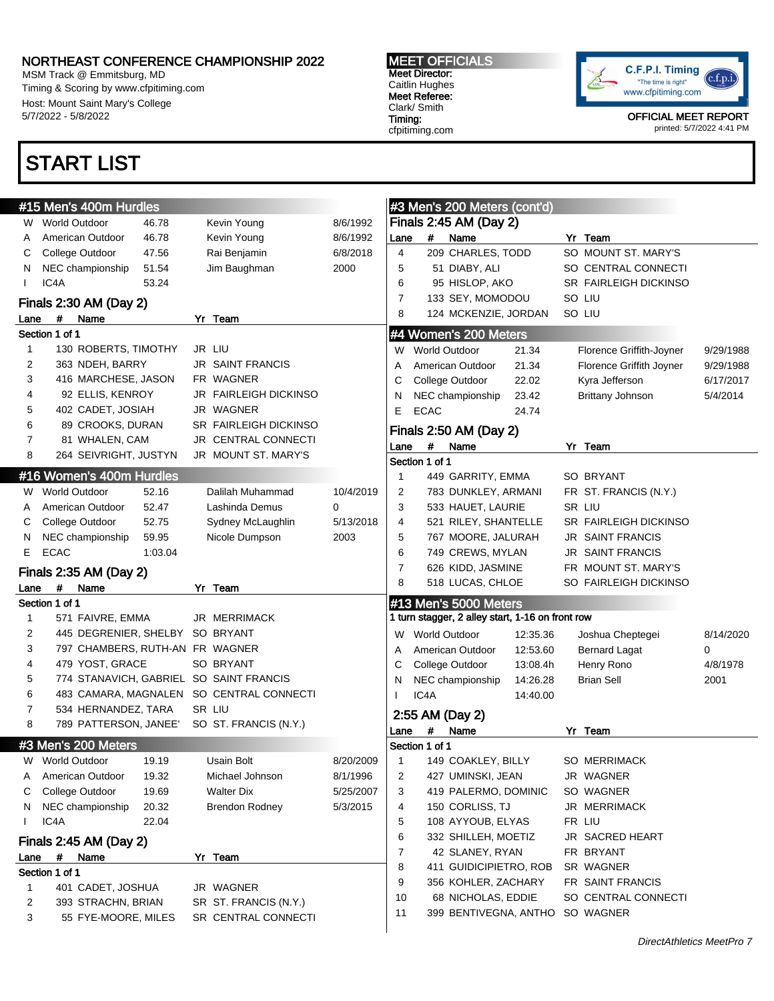MSM Track @ Emmitsburg, MD Timing & Scoring by www.cfpitiming.com Host: Mount Saint Mary's College 5/7/2022 - 5/8/2022

# START LIST

| <b>MEET OFFICIALS</b> |
|-----------------------|
| <b>Meet Director:</b> |
| Caitlin Hughes        |
| Meet Referee:         |
| Clark/ Smith          |
| Timing:               |
| cfpitiming.com        |

 $\frac{1}{2}$   $\frac{3}{2}$   $\frac{3}{2}$   $\frac{3}{2}$   $\frac{3}{2}$   $\frac{3}{2}$   $\frac{3}{2}$   $\frac{3}{2}$   $\frac{3}{2}$   $\frac{3}{2}$   $\frac{3}{2}$   $\frac{3}{2}$   $\frac{3}{2}$   $\frac{3}{2}$   $\frac{3}{2}$   $\frac{3}{2}$   $\frac{3}{2}$   $\frac{3}{2}$   $\frac{3}{2}$   $\frac{3}{2}$   $\frac{3}{2}$   $\frac{3}{2}$ 



|                | #15 Men's 400m Hurdles          |         |                                          |           |                | #3 Men's 200 Meters (cont'd)                     |          |        |                              |           |
|----------------|---------------------------------|---------|------------------------------------------|-----------|----------------|--------------------------------------------------|----------|--------|------------------------------|-----------|
| W              | <b>World Outdoor</b>            | 46.78   | Kevin Young                              | 8/6/1992  |                | Finals 2:45 AM (Day 2)                           |          |        |                              |           |
| Α              | American Outdoor                | 46.78   | Kevin Young                              | 8/6/1992  | Lane           | #<br>Name                                        |          |        | Yr Team                      |           |
| С              | College Outdoor                 | 47.56   | Rai Benjamin                             | 6/8/2018  | $\overline{4}$ | 209 CHARLES, TODD                                |          |        | SO MOUNT ST. MARY'S          |           |
| N              | NEC championship                | 51.54   | Jim Baughman                             | 2000      | 5              | 51 DIABY, ALI                                    |          |        | SO CENTRAL CONNECTI          |           |
|                | IC4A                            | 53.24   |                                          |           | 6              | 95 HISLOP, AKO                                   |          |        | SR FAIRLEIGH DICKINSO        |           |
|                |                                 |         |                                          |           | 7              | 133 SEY, MOMODOU                                 |          | SO LIU |                              |           |
|                | Finals 2:30 AM (Day 2)          |         |                                          |           | 8              | 124 MCKENZIE, JORDAN                             |          | SO LIU |                              |           |
| Lane           | #<br>Name                       |         | Yr Team                                  |           |                |                                                  |          |        |                              |           |
|                | Section 1 of 1                  |         |                                          |           |                | #4 Women's 200 Meters                            |          |        |                              |           |
| 1              | 130 ROBERTS, TIMOTHY            |         | JR LIU                                   |           | W              | <b>World Outdoor</b>                             | 21.34    |        | Florence Griffith-Joyner     | 9/29/1988 |
| 2              | 363 NDEH, BARRY                 |         | <b>JR SAINT FRANCIS</b>                  |           | Α              | American Outdoor                                 | 21.34    |        | Florence Griffith Joyner     | 9/29/1988 |
| 3              | 416 MARCHESE, JASON             |         | FR WAGNER                                |           | C              | College Outdoor                                  | 22.02    |        | Kyra Jefferson               | 6/17/2017 |
| 4              | 92 ELLIS, KENROY                |         | JR FAIRLEIGH DICKINSO                    |           | N              | NEC championship                                 | 23.42    |        | Brittany Johnson             | 5/4/2014  |
| 5              | 402 CADET, JOSIAH               |         | JR WAGNER                                |           | E              | <b>ECAC</b>                                      | 24.74    |        |                              |           |
| 6              | 89 CROOKS, DURAN                |         | <b>SR FAIRLEIGH DICKINSO</b>             |           |                | Finals 2:50 AM (Day 2)                           |          |        |                              |           |
| 7              | 81 WHALEN, CAM                  |         | JR CENTRAL CONNECTI                      |           | Lane           | #<br>Name                                        |          |        | Yr Team                      |           |
| 8              | 264 SEIVRIGHT, JUSTYN           |         | JR MOUNT ST. MARY'S                      |           |                | Section 1 of 1                                   |          |        |                              |           |
|                | #16 Women's 400m Hurdles        |         |                                          |           | 1              | 449 GARRITY, EMMA                                |          |        | SO BRYANT                    |           |
| w              | <b>World Outdoor</b>            | 52.16   | Dalilah Muhammad                         | 10/4/2019 | 2              | 783 DUNKLEY, ARMANI                              |          |        | FR ST. FRANCIS (N.Y.)        |           |
| Α              | American Outdoor                | 52.47   | Lashinda Demus                           | 0         | 3              | 533 HAUET, LAURIE                                |          | SR LIU |                              |           |
| С              | College Outdoor                 | 52.75   | Sydney McLaughlin                        | 5/13/2018 | 4              | 521 RILEY, SHANTELLE                             |          |        | <b>SR FAIRLEIGH DICKINSO</b> |           |
| N              | NEC championship                | 59.95   | Nicole Dumpson                           | 2003      | 5              | 767 MOORE, JALURAH                               |          |        | <b>JR SAINT FRANCIS</b>      |           |
| E              | <b>ECAC</b>                     | 1:03.04 |                                          |           | 6              | 749 CREWS, MYLAN                                 |          |        | JR SAINT FRANCIS             |           |
|                |                                 |         |                                          |           | 7              | 626 KIDD, JASMINE                                |          |        | FR MOUNT ST. MARY'S          |           |
|                |                                 |         |                                          |           |                |                                                  |          |        |                              |           |
|                | Finals 2:35 AM (Day 2)          |         |                                          |           |                |                                                  |          |        |                              |           |
| Lane           | #<br>Name                       |         | Yr Team                                  |           | 8              | 518 LUCAS, CHLOE                                 |          |        | SO FAIRLEIGH DICKINSO        |           |
|                | Section 1 of 1                  |         |                                          |           |                | #13 Men's 5000 Meters                            |          |        |                              |           |
| 1              | 571 FAIVRE, EMMA                |         | <b>JR MERRIMACK</b>                      |           |                | 1 turn stagger, 2 alley start, 1-16 on front row |          |        |                              |           |
| 2              | 445 DEGRENIER, SHELBY SO BRYANT |         |                                          |           | W              | <b>World Outdoor</b>                             | 12:35.36 |        | Joshua Cheptegei             | 8/14/2020 |
| 3              | 797 CHAMBERS, RUTH-AN FR WAGNER |         |                                          |           | Α              | American Outdoor                                 | 12:53.60 |        | <b>Bernard Lagat</b>         | 0         |
| 4              | 479 YOST, GRACE                 |         | <b>SO BRYANT</b>                         |           | С              | College Outdoor                                  | 13:08.4h |        | Henry Rono                   | 4/8/1978  |
| 5              |                                 |         | 774 STANAVICH, GABRIEL SO SAINT FRANCIS  |           | N              | NEC championship                                 | 14:26.28 |        | <b>Brian Sell</b>            | 2001      |
| 6              |                                 |         | 483 CAMARA, MAGNALEN SO CENTRAL CONNECTI |           |                | IC <sub>4</sub> A                                | 14:40.00 |        |                              |           |
| $\overline{7}$ | 534 HERNANDEZ, TARA             |         | SR LIU                                   |           |                |                                                  |          |        |                              |           |
| 8              | 789 PATTERSON, JANEE'           |         | SO ST. FRANCIS (N.Y.)                    |           |                | 2:55 AM (Day 2)                                  |          |        |                              |           |
|                |                                 |         |                                          |           | Lane           | $\#$<br>Name                                     |          |        | Yr Team                      |           |
|                | #3 Men's 200 Meters             |         |                                          |           |                | Section 1 of 1                                   |          |        |                              |           |
|                | W World Outdoor                 | 19.19   | Usain Bolt                               | 8/20/2009 | 1              | 149 COAKLEY, BILLY                               |          |        | <b>SO MERRIMACK</b>          |           |
| Α              | American Outdoor                | 19.32   | Michael Johnson                          | 8/1/1996  | 2              | 427 UMINSKI, JEAN                                |          |        | JR WAGNER                    |           |
| С              | College Outdoor                 | 19.69   | <b>Walter Dix</b>                        | 5/25/2007 | 3              | 419 PALERMO, DOMINIC                             |          |        | SO WAGNER                    |           |
| N              | NEC championship                | 20.32   | <b>Brendon Rodney</b>                    | 5/3/2015  | 4              | 150 CORLISS, TJ                                  |          |        | JR MERRIMACK                 |           |
|                | IC4A                            | 22.04   |                                          |           | 5              | 108 AYYOUB, ELYAS                                |          | FR LIU |                              |           |
|                | Finals 2:45 AM (Day 2)          |         |                                          |           | 6              | 332 SHILLEH, MOETIZ                              |          |        | JR SACRED HEART              |           |
| Lane           | #<br>Name                       |         | Yr Team                                  |           | 7              | 42 SLANEY, RYAN                                  |          |        | FR BRYANT                    |           |
|                | Section 1 of 1                  |         |                                          |           | 8              | 411 GUIDICIPIETRO, ROB                           |          |        | SR WAGNER                    |           |
| 1              | 401 CADET, JOSHUA               |         | JR WAGNER                                |           | 9              | 356 KOHLER, ZACHARY                              |          |        | FR SAINT FRANCIS             |           |
| 2              | 393 STRACHN, BRIAN              |         | SR ST. FRANCIS (N.Y.)                    |           | 10             | 68 NICHOLAS, EDDIE                               |          |        | SO CENTRAL CONNECTI          |           |
| 3              | 55 FYE-MOORE, MILES             |         | SR CENTRAL CONNECTI                      |           | 11             | 399 BENTIVEGNA, ANTHO SO WAGNER                  |          |        |                              |           |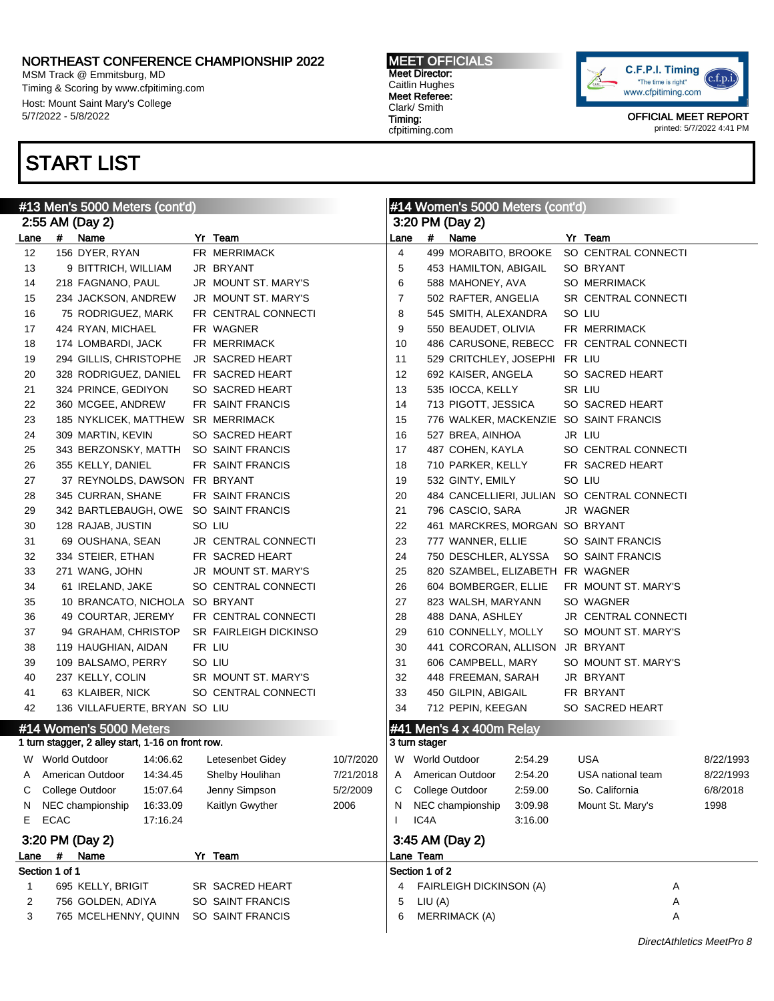MSM Track @ Emmitsburg, MD Timing & Scoring by www.cfpitiming.com Host: Mount Saint Mary's College 5/7/2022 - 5/8/2022

## START LIST

MEET OFFICIALS Meet Director: Caitlin Hughes Meet Referee: Clark/ Smith Timing: cfpitiming.com

#14 Women's 5000 Meters (cont'd)



|      |                | #13 Men's 5000 Meters (cont'd)                    |          |                              |           | #14 Women's 5000 Meters (cont'd) |                |                                  |         |  |                                             |           |
|------|----------------|---------------------------------------------------|----------|------------------------------|-----------|----------------------------------|----------------|----------------------------------|---------|--|---------------------------------------------|-----------|
|      |                | 2:55 AM (Day 2)                                   |          |                              |           |                                  |                | 3:20 PM (Day 2)                  |         |  |                                             |           |
| Lane | #              | Name                                              |          | Yr Team                      |           | Lane                             | #              | Name                             |         |  | Yr Team                                     |           |
| 12   |                | 156 DYER, RYAN                                    |          | FR MERRIMACK                 |           | 4                                |                | 499 MORABITO, BROOKE             |         |  | SO CENTRAL CONNECTI                         |           |
| 13   |                | 9 BITTRICH, WILLIAM                               |          | JR BRYANT                    |           | 5                                |                | 453 HAMILTON, ABIGAIL            |         |  | SO BRYANT                                   |           |
| 14   |                | 218 FAGNANO, PAUL                                 |          | JR MOUNT ST. MARY'S          |           | 6                                |                | 588 MAHONEY, AVA                 |         |  | SO MERRIMACK                                |           |
| 15   |                | 234 JACKSON, ANDREW                               |          | JR MOUNT ST. MARY'S          |           | 7                                |                | 502 RAFTER, ANGELIA              |         |  | SR CENTRAL CONNECTI                         |           |
| 16   |                | 75 RODRIGUEZ, MARK                                |          | FR CENTRAL CONNECTI          |           | 8                                |                | 545 SMITH, ALEXANDRA             |         |  | SO LIU                                      |           |
| 17   |                | 424 RYAN, MICHAEL                                 |          | FR WAGNER                    |           | 9                                |                | 550 BEAUDET, OLIVIA              |         |  | FR MERRIMACK                                |           |
| 18   |                | 174 LOMBARDI, JACK                                |          | FR MERRIMACK                 |           | 10                               |                | 486 CARUSONE, REBECC             |         |  | FR CENTRAL CONNECTI                         |           |
| 19   |                | 294 GILLIS, CHRISTOPHE                            |          | JR SACRED HEART              |           | 11                               |                | 529 CRITCHLEY, JOSEPHI FR LIU    |         |  |                                             |           |
| 20   |                | 328 RODRIGUEZ, DANIEL                             |          | FR SACRED HEART              |           | 12                               |                | 692 KAISER, ANGELA               |         |  | SO SACRED HEART                             |           |
| 21   |                | 324 PRINCE, GEDIYON                               |          | SO SACRED HEART              |           | 13                               |                | 535 IOCCA, KELLY                 |         |  | SR LIU                                      |           |
| 22   |                | 360 MCGEE, ANDREW                                 |          | FR SAINT FRANCIS             |           | 14                               |                | 713 PIGOTT, JESSICA              |         |  | SO SACRED HEART                             |           |
| 23   |                | 185 NYKLICEK, MATTHEW                             |          | <b>SR MERRIMACK</b>          |           | 15                               |                |                                  |         |  | 776 WALKER, MACKENZIE SO SAINT FRANCIS      |           |
| 24   |                | 309 MARTIN, KEVIN                                 |          | SO SACRED HEART              |           | 16                               |                | 527 BREA, AINHOA                 |         |  | JR LIU                                      |           |
| 25   |                | 343 BERZONSKY, MATTH                              |          | SO SAINT FRANCIS             |           | 17                               |                | 487 COHEN, KAYLA                 |         |  | SO CENTRAL CONNECTI                         |           |
| 26   |                | 355 KELLY, DANIEL                                 |          | FR SAINT FRANCIS             |           | 18                               |                | 710 PARKER, KELLY                |         |  | FR SACRED HEART                             |           |
| 27   |                | 37 REYNOLDS, DAWSON FR BRYANT                     |          |                              |           | 19                               |                | 532 GINTY, EMILY                 |         |  | SO LIU                                      |           |
| 28   |                | 345 CURRAN, SHANE                                 |          | FR SAINT FRANCIS             |           | 20                               |                |                                  |         |  | 484 CANCELLIERI, JULIAN SO CENTRAL CONNECTI |           |
| 29   |                | 342 BARTLEBAUGH, OWE                              |          | SO SAINT FRANCIS             |           | 21                               |                | 796 CASCIO, SARA                 |         |  | JR WAGNER                                   |           |
| 30   |                | 128 RAJAB, JUSTIN                                 |          | SO LIU                       |           | 22                               |                | 461 MARCKRES, MORGAN SO BRYANT   |         |  |                                             |           |
| 31   |                | 69 OUSHANA, SEAN                                  |          | JR CENTRAL CONNECTI          |           | 23                               |                | 777 WANNER, ELLIE                |         |  | SO SAINT FRANCIS                            |           |
| 32   |                | 334 STEIER, ETHAN                                 |          | FR SACRED HEART              |           | 24                               |                | 750 DESCHLER, ALYSSA             |         |  | SO SAINT FRANCIS                            |           |
| 33   |                | 271 WANG, JOHN                                    |          | JR MOUNT ST. MARY'S          |           | 25                               |                | 820 SZAMBEL, ELIZABETH FR WAGNER |         |  |                                             |           |
| 34   |                | 61 IRELAND, JAKE                                  |          | SO CENTRAL CONNECTI          |           | 26                               |                | 604 BOMBERGER, ELLIE             |         |  | FR MOUNT ST. MARY'S                         |           |
| 35   |                | 10 BRANCATO, NICHOLA SO BRYANT                    |          |                              |           | 27                               |                | 823 WALSH, MARYANN               |         |  | SO WAGNER                                   |           |
| 36   |                | 49 COURTAR, JEREMY                                |          | FR CENTRAL CONNECTI          |           | 28                               |                | 488 DANA, ASHLEY                 |         |  | JR CENTRAL CONNECTI                         |           |
| 37   |                | 94 GRAHAM, CHRISTOP                               |          | <b>SR FAIRLEIGH DICKINSO</b> |           | 29                               |                | 610 CONNELLY, MOLLY              |         |  | SO MOUNT ST. MARY'S                         |           |
| 38   |                | 119 HAUGHIAN, AIDAN                               |          | FR LIU                       |           | 30                               |                | 441 CORCORAN, ALLISON JR BRYANT  |         |  |                                             |           |
| 39   |                | 109 BALSAMO, PERRY                                |          | SO LIU                       |           | 31                               |                | 606 CAMPBELL, MARY               |         |  | SO MOUNT ST. MARY'S                         |           |
| 40   |                | 237 KELLY, COLIN                                  |          | SR MOUNT ST. MARY'S          |           | 32                               |                | 448 FREEMAN, SARAH               |         |  | JR BRYANT                                   |           |
| 41   |                | 63 KLAIBER, NICK                                  |          | SO CENTRAL CONNECTI          |           | 33                               |                | 450 GILPIN, ABIGAIL              |         |  | FR BRYANT                                   |           |
| 42   |                | 136 VILLAFUERTE, BRYAN SO LIU                     |          |                              |           | 34                               |                | 712 PEPIN, KEEGAN                |         |  | SO SACRED HEART                             |           |
|      |                | #14 Women's 5000 Meters                           |          |                              |           |                                  |                | #41 Men's $4 \times 400$ m Relay |         |  |                                             |           |
|      |                | 1 turn stagger, 2 alley start, 1-16 on front row. |          |                              |           |                                  | 3 turn stager  |                                  |         |  |                                             |           |
|      |                | W World Outdoor                                   | 14:06.62 | Letesenbet Gidey             | 10/7/2020 |                                  |                | W World Outdoor                  | 2:54.29 |  | <b>USA</b>                                  | 8/22/1993 |
| Α    |                | American Outdoor                                  | 14:34.45 | Shelby Houlihan              | 7/21/2018 | A                                |                | American Outdoor                 | 2:54.20 |  | USA national team                           | 8/22/1993 |
| С    |                | College Outdoor                                   | 15:07.64 | Jenny Simpson                | 5/2/2009  | С                                |                | College Outdoor                  | 2:59.00 |  | So. California                              | 6/8/2018  |
| N    |                | NEC championship                                  | 16:33.09 | Kaitlyn Gwyther              | 2006      | N                                |                | NEC championship                 | 3:09.98 |  | Mount St. Mary's                            | 1998      |
| E.   | <b>ECAC</b>    |                                                   | 17:16.24 |                              |           |                                  | IC4A           |                                  | 3:16.00 |  |                                             |           |
|      |                | 3:20 PM (Day 2)                                   |          |                              |           |                                  |                | 3:45 AM (Day 2)                  |         |  |                                             |           |
| Lane | #              | Name                                              |          | Yr Team                      |           |                                  | Lane Team      |                                  |         |  |                                             |           |
|      | Section 1 of 1 |                                                   |          |                              |           |                                  | Section 1 of 2 |                                  |         |  |                                             |           |
| 1    |                | 695 KELLY, BRIGIT                                 |          | SR SACRED HEART              |           | 4                                |                | <b>FAIRLEIGH DICKINSON (A)</b>   |         |  | A                                           |           |
| 2    |                | 756 GOLDEN, ADIYA                                 |          | SO SAINT FRANCIS             |           | 5                                | LIU(A)         |                                  |         |  | Α                                           |           |
| 3    |                | 765 MCELHENNY, QUINN                              |          | SO SAINT FRANCIS             |           | 6                                |                | <b>MERRIMACK (A)</b>             |         |  | Α                                           |           |
|      |                |                                                   |          |                              |           |                                  |                |                                  |         |  |                                             |           |